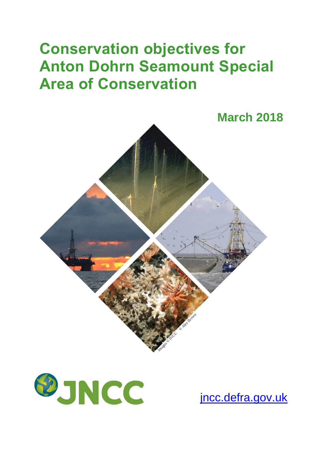## **Conservation objectives for Anton Dohrn Seamount Special Area of Conservation**





[jncc.defra.gov.uk](http://www.jncc.defra.gov.uk/)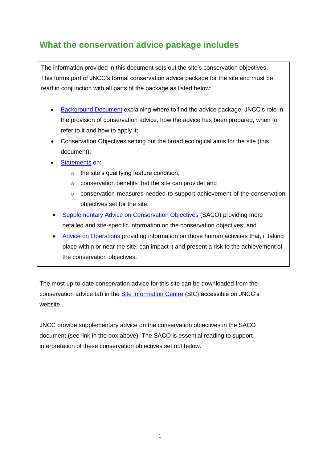## **What the conservation advice package includes**

The information provided in this document sets out the site's conservation objectives. This forms part of JNCC's formal conservation advice package for the site and must be read in conjunction with all parts of the package as listed below:

- [Background](http://jncc.defra.gov.uk/pdf/AntonDohrn_Background_V1.0.pdf) Document explaining where to find the advice package, JNCC's role in the provision of conservation advice, how the advice has been prepared, when to refer to it and how to apply it;
- Conservation Objectives setting out the broad ecological aims for the site (this document);
- [Statements](http://jncc.defra.gov.uk/pdf/AntonDohrn_ConservationStatements_V1.0.pdf) on:
	- o the site's qualifying feature condition;
	- o conservation benefits that the site can provide; and
	- $\circ$  conservation measures needed to support achievement of the conservation objectives set for the site.
- [Supplementary Advice on Conservation Objectives](http://jncc.defra.gov.uk/pdf/AntonDohrn_SACO_V1.0.pdf) (SACO) providing more detailed and site-specific information on the conservation objectives; and
- [Advice on Operations](http://jncc.defra.gov.uk/docs/AntonDohrn_AdviceOnOperations_V1.0.xlsx) providing information on those human activities that, if taking place within or near the site, can impact it and present a risk to the achievement of the conservation objectives.

The most up-to-date conservation advice for this site can be downloaded from the conservation advice tab in the [Site Information Centre](http://jncc.defra.gov.uk/page-6527) (SIC) accessible on JNCC's website.

JNCC provide supplementary advice on the conservation objectives in the SACO document (see link in the box above). The SACO is essential reading to support interpretation of these conservation objectives set out below.